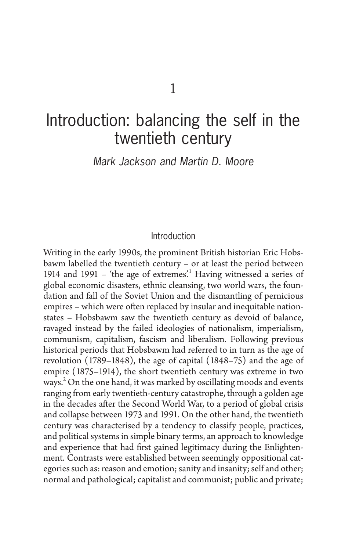# Introduction: balancing the self in the twentieth century

Mark Jackson and Martin D. Moore

#### Introduction

 Writing in the early 1990s, the prominent British historian Eric Hobsbawm labelled the twentieth century – or at least the period between 1914 and 1991 – 'the age of extremes'.<sup>1</sup> Having witnessed a series of global economic disasters, ethnic cleansing, two world wars, the foundation and fall of the Soviet Union and the dismantling of pernicious empires – which were often replaced by insular and inequitable nationstates – Hobsbawm saw the twentieth century as devoid of balance, ravaged instead by the failed ideologies of nationalism, imperialism, communism, capitalism, fascism and liberalism. Following previous historical periods that Hobsbawm had referred to in turn as the age of revolution (1789–1848), the age of capital (1848–75) and the age of empire (1875–1914), the short twentieth century was extreme in two ways.<sup>2</sup> On the one hand, it was marked by oscillating moods and events ranging from early twentieth-century catastrophe, through a golden age in the decades after the Second World War, to a period of global crisis and collapse between 1973 and 1991. On the other hand, the twentieth century was characterised by a tendency to classify people, practices, and political systems in simple binary terms, an approach to knowledge and experience that had first gained legitimacy during the Enlightenment. Contrasts were established between seemingly oppositional categories such as: reason and emotion; sanity and insanity; self and other; normal and pathological; capitalist and communist; public and private;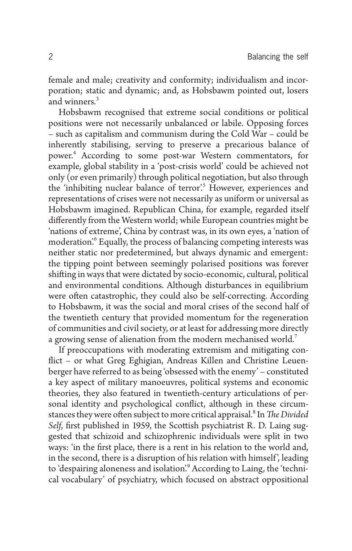female and male; creativity and conformity; individualism and incorporation; static and dynamic; and, as Hobsbawm pointed out, losers and winners. 3

 Hobsbawm recognised that extreme social conditions or political positions were not necessarily unbalanced or labile. Opposing forces – such as capitalism and communism during the Cold War – could be inherently stabilising, serving to preserve a precarious balance of power. 4 According to some post-war Western commentators, for example, global stability in a 'post-crisis world' could be achieved not only (or even primarily) through political negotiation, but also through the 'inhibiting nuclear balance of terror'.<sup>5</sup> However, experiences and representations of crises were not necessarily as uniform or universal as Hobsbawm imagined. Republican China, for example, regarded itself differently from the Western world; while European countries might be 'nations of extreme', China by contrast was, in its own eyes, a 'nation of moderation.<sup>6</sup> Equally, the process of balancing competing interests was neither static nor predetermined, but always dynamic and emergent: the tipping point between seemingly polarised positions was forever shifting in ways that were dictated by socio-economic, cultural, political and environmental conditions. Although disturbances in equilibrium were often catastrophic, they could also be self-correcting. According to Hobsbawm, it was the social and moral crises of the second half of the twentieth century that provided momentum for the regeneration of communities and civil society, or at least for addressing more directly a growing sense of alienation from the modern mechanised world.<sup>7</sup>

 If preoccupations with moderating extremism and mitigating conflict – or what Greg Eghigian, Andreas Killen and Christine Leuenberger have referred to as being 'obsessed with the enemy' – constituted a key aspect of military manoeuvres, political systems and economic theories, they also featured in twentieth-century articulations of personal identity and psychological conflict, although in these circumstances they were often subject to more critical appraisal.<sup>8</sup> In *The Divided Self*, first published in 1959, the Scottish psychiatrist R. D. Laing suggested that schizoid and schizophrenic individuals were split in two ways: 'in the first place, there is a rent in his relation to the world and, in the second, there is a disruption of his relation with himself', leading to 'despairing aloneness and isolation'.<sup>9</sup> According to Laing, the 'technical vocabulary' of psychiatry, which focused on abstract oppositional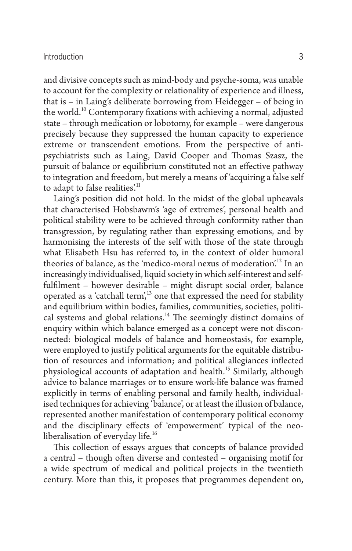and divisive concepts such as mind-body and psyche-soma, was unable to account for the complexity or relationality of experience and illness, that is  $-$  in Laing's deliberate borrowing from Heidegger  $-$  of being in the world.<sup>10</sup> Contemporary fixations with achieving a normal, adjusted state – through medication or lobotomy, for example – were dangerous precisely because they suppressed the human capacity to experience extreme or transcendent emotions. From the perspective of antipsychiatrists such as Laing, David Cooper and Thomas Szasz, the pursuit of balance or equilibrium constituted not an effective pathway to integration and freedom, but merely a means of 'acquiring a false self to adapt to false realities.<sup>11</sup>

Laing's position did not hold. In the midst of the global upheavals that characterised Hobsbawm's 'age of extremes', personal health and political stability were to be achieved through conformity rather than transgression, by regulating rather than expressing emotions, and by harmonising the interests of the self with those of the state through what Elisabeth Hsu has referred to, in the context of older humoral theories of balance, as the 'medico-moral nexus of moderation'.<sup>12</sup> In an increasingly individualised, liquid society in which self-interest and selffulfilment – however desirable – might disrupt social order, balance operated as a 'catchall term',<sup>13</sup> one that expressed the need for stability and equilibrium within bodies, families, communities, societies, political systems and global relations.<sup>14</sup> The seemingly distinct domains of enquiry within which balance emerged as a concept were not disconnected: biological models of balance and homeostasis, for example, were employed to justify political arguments for the equitable distribution of resources and information; and political allegiances inflected physiological accounts of adaptation and health. 15 Similarly, although advice to balance marriages or to ensure work-life balance was framed explicitly in terms of enabling personal and family health, individualised techniques for achieving 'balance', or at least the illusion of balance, represented another manifestation of contemporary political economy and the disciplinary effects of 'empowerment' typical of the neoliberalisation of everyday life.<sup>16</sup>

This collection of essays argues that concepts of balance provided a central – though often diverse and contested – organising motif for a wide spectrum of medical and political projects in the twentieth century. More than this, it proposes that programmes dependent on,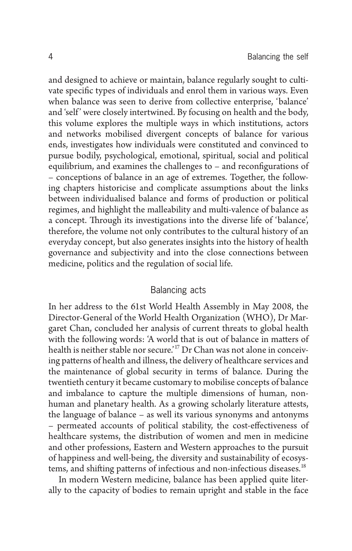and designed to achieve or maintain, balance regularly sought to cultivate specific types of individuals and enrol them in various ways. Even when balance was seen to derive from collective enterprise, 'balance' and 'self' were closely intertwined. By focusing on health and the body, this volume explores the multiple ways in which institutions, actors and networks mobilised divergent concepts of balance for various ends, investigates how individuals were constituted and convinced to pursue bodily, psychological, emotional, spiritual, social and political equilibrium, and examines the challenges to  $-$  and reconfigurations of – conceptions of balance in an age of extremes. Together, the following chapters historicise and complicate assumptions about the links between individualised balance and forms of production or political regimes, and highlight the malleability and multi-valence of balance as a concept. Through its investigations into the diverse life of 'balance', therefore, the volume not only contributes to the cultural history of an everyday concept, but also generates insights into the history of health governance and subjectivity and into the close connections between medicine, politics and the regulation of social life.

## Balancing acts

 In her address to the 61st World Health Assembly in May 2008, the Director-General of the World Health Organization (WHO), Dr Margaret Chan, concluded her analysis of current threats to global health with the following words: 'A world that is out of balance in matters of health is neither stable nor secure.<sup>'17</sup> Dr Chan was not alone in conceiving patterns of health and illness, the delivery of healthcare services and the maintenance of global security in terms of balance. During the twentieth century it became customary to mobilise concepts of balance and imbalance to capture the multiple dimensions of human, nonhuman and planetary health. As a growing scholarly literature attests, the language of balance – as well its various synonyms and antonyms – permeated accounts of political stability, the cost-effectiveness of healthcare systems, the distribution of women and men in medicine and other professions, Eastern and Western approaches to the pursuit of happiness and well-being, the diversity and sustainability of ecosystems, and shifting patterns of infectious and non-infectious diseases.<sup>18</sup>

 In modern Western medicine, balance has been applied quite literally to the capacity of bodies to remain upright and stable in the face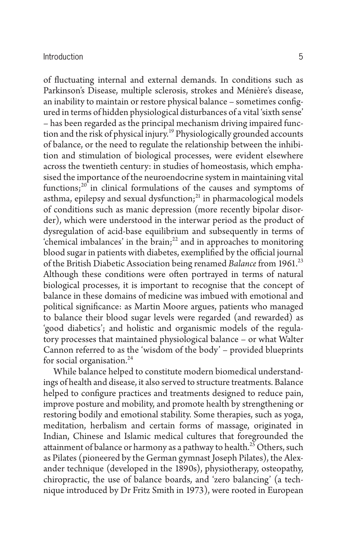of fluctuating internal and external demands. In conditions such as Parkinson's Disease, multiple sclerosis, strokes and Ménière's disease, an inability to maintain or restore physical balance - sometimes configured in terms of hidden physiological disturbances of a vital 'sixth sense' – has been regarded as the principal mechanism driving impaired function and the risk of physical injury.<sup>19</sup> Physiologically grounded accounts of balance, or the need to regulate the relationship between the inhibition and stimulation of biological processes, were evident elsewhere across the twentieth century: in studies of homeostasis, which emphasised the importance of the neuroendocrine system in maintaining vital functions; $20$  in clinical formulations of the causes and symptoms of asthma, epilepsy and sexual dysfunction; $^{21}$  in pharmacological models of conditions such as manic depression (more recently bipolar disorder), which were understood in the interwar period as the product of dysregulation of acid-base equilibrium and subsequently in terms of 'chemical imbalances' in the  $\hat{b}$ rain;<sup>22</sup> and in approaches to monitoring blood sugar in patients with diabetes, exemplified by the official journal of the British Diabetic Association being renamed *Balance* from 1961. 23 Although these conditions were often portrayed in terms of natural biological processes, it is important to recognise that the concept of balance in these domains of medicine was imbued with emotional and political significance: as Martin Moore argues, patients who managed to balance their blood sugar levels were regarded (and rewarded) as 'good diabetics'; and holistic and organismic models of the regulatory processes that maintained physiological balance – or what Walter Cannon referred to as the 'wisdom of the body' – provided blueprints for social organisation. $^{24}$ 

 While balance helped to constitute modern biomedical understandings of health and disease, it also served to structure treatments. Balance helped to configure practices and treatments designed to reduce pain, improve posture and mobility, and promote health by strengthening or restoring bodily and emotional stability. Some therapies, such as yoga, meditation, herbalism and certain forms of massage, originated in Indian, Chinese and Islamic medical cultures that foregrounded the attainment of balance or harmony as a pathway to health.<sup>25</sup> Others, such as Pilates (pioneered by the German gymnast Joseph Pilates), the Alexander technique (developed in the 1890s), physiotherapy, osteopathy, chiropractic, the use of balance boards, and 'zero balancing' (a technique introduced by Dr Fritz Smith in 1973), were rooted in European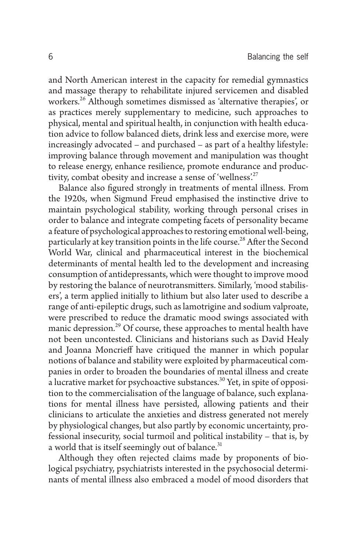and North American interest in the capacity for remedial gymnastics and massage therapy to rehabilitate injured servicemen and disabled workers. 26 Although sometimes dismissed as 'alternative therapies', or as practices merely supplementary to medicine, such approaches to physical, mental and spiritual health, in conjunction with health education advice to follow balanced diets, drink less and exercise more, were increasingly advocated – and purchased – as part of a healthy lifestyle: improving balance through movement and manipulation was thought to release energy, enhance resilience, promote endurance and productivity, combat obesity and increase a sense of 'wellness'.<sup>27</sup>

Balance also figured strongly in treatments of mental illness. From the 1920s, when Sigmund Freud emphasised the instinctive drive to maintain psychological stability, working through personal crises in order to balance and integrate competing facets of personality became a feature of psychological approaches to restoring emotional well-being, particularly at key transition points in the life course.<sup>28</sup> After the Second World War, clinical and pharmaceutical interest in the biochemical determinants of mental health led to the development and increasing consumption of antidepressants, which were thought to improve mood by restoring the balance of neurotransmitters. Similarly, 'mood stabilisers', a term applied initially to lithium but also later used to describe a range of anti-epileptic drugs, such as lamotrigine and sodium valproate, were prescribed to reduce the dramatic mood swings associated with manic depression.<sup>29</sup> Of course, these approaches to mental health have not been uncontested. Clinicians and historians such as David Healy and Joanna Moncrieff have critiqued the manner in which popular notions of balance and stability were exploited by pharmaceutical companies in order to broaden the boundaries of mental illness and create a lucrative market for psychoactive substances. 30 Yet, in spite of opposition to the commercialisation of the language of balance, such explanations for mental illness have persisted, allowing patients and their clinicians to articulate the anxieties and distress generated not merely by physiological changes, but also partly by economic uncertainty, professional insecurity, social turmoil and political instability – that is, by a world that is itself seemingly out of balance.<sup>31</sup>

Although they often rejected claims made by proponents of biological psychiatry, psychiatrists interested in the psychosocial determinants of mental illness also embraced a model of mood disorders that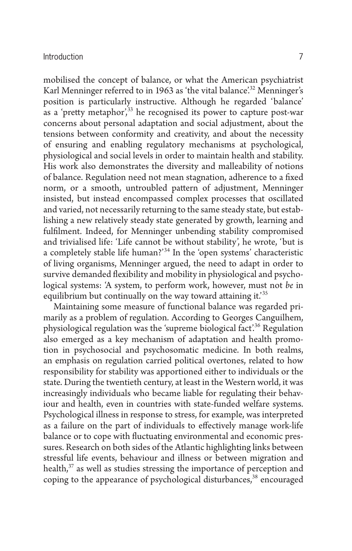mobilised the concept of balance, or what the American psychiatrist Karl Menninger referred to in 1963 as 'the vital balance'.<sup>32</sup> Menninger's position is particularly instructive. Although he regarded 'balance' as a 'pretty metaphor',  $33$  he recognised its power to capture post-war concerns about personal adaptation and social adjustment, about the tensions between conformity and creativity, and about the necessity of ensuring and enabling regulatory mechanisms at psychological, physiological and social levels in order to maintain health and stability. His work also demonstrates the diversity and malleability of notions of balance. Regulation need not mean stagnation, adherence to a fixed norm, or a smooth, untroubled pattern of adjustment, Menninger insisted, but instead encompassed complex processes that oscillated and varied, not necessarily returning to the same steady state, but establishing a new relatively steady state generated by growth, learning and fulfilment. Indeed, for Menninger unbending stability compromised and trivialised life: 'Life cannot be without stability', he wrote, 'but is a completely stable life human?'<sup>34</sup> In the 'open systems' characteristic of living organisms, Menninger argued, the need to adapt in order to survive demanded flexibility and mobility in physiological and psychological systems: 'A system, to perform work, however, must not *be* in equilibrium but continually on the way toward attaining it.<sup>35</sup>

 Maintaining some measure of functional balance was regarded primarily as a problem of regulation. According to Georges Canguilhem, physiological regulation was the 'supreme biological fact'.<sup>36</sup> Regulation also emerged as a key mechanism of adaptation and health promotion in psychosocial and psychosomatic medicine. In both realms, an emphasis on regulation carried political overtones, related to how responsibility for stability was apportioned either to individuals or the state. During the twentieth century, at least in the Western world, it was increasingly individuals who became liable for regulating their behaviour and health, even in countries with state-funded welfare systems. Psychological illness in response to stress, for example, was interpreted as a failure on the part of individuals to effectively manage work-life balance or to cope with fluctuating environmental and economic pressures. Research on both sides of the Atlantic highlighting links between stressful life events, behaviour and illness or between migration and health,<sup>37</sup> as well as studies stressing the importance of perception and coping to the appearance of psychological disturbances,<sup>38</sup> encouraged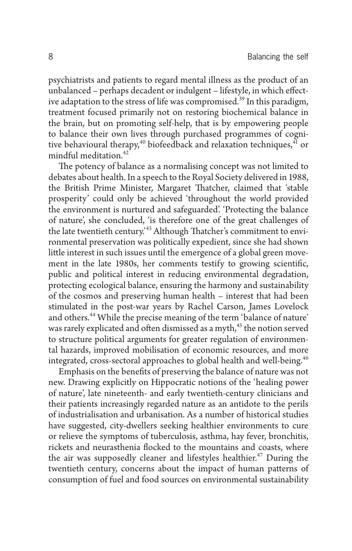psychiatrists and patients to regard mental illness as the product of an unbalanced - perhaps decadent or indulgent - lifestyle, in which effective adaptation to the stress of life was compromised.<sup>39</sup> In this paradigm, treatment focused primarily not on restoring biochemical balance in the brain, but on promoting self-help, that is by empowering people to balance their own lives through purchased programmes of cognitive behavioural therapy,<sup>40</sup> biofeedback and relaxation techniques, $4\overline{1}$  or mindful meditation. 42

The potency of balance as a normalising concept was not limited to debates about health. In a speech to the Royal Society delivered in 1988, the British Prime Minister, Margaret Thatcher, claimed that 'stable prosperity' could only be achieved 'throughout the world provided the environment is nurtured and safeguarded'. 'Protecting the balance of nature', she concluded, 'is therefore one of the great challenges of the late twentieth century.<sup>43</sup> Although Thatcher's commitment to environmental preservation was politically expedient, since she had shown little interest in such issues until the emergence of a global green movement in the late 1980s, her comments testify to growing scientific, public and political interest in reducing environmental degradation, protecting ecological balance, ensuring the harmony and sustainability of the cosmos and preserving human health – interest that had been stimulated in the post-war years by Rachel Carson, James Lovelock and others. 44 While the precise meaning of the term 'balance of nature' was rarely explicated and often dismissed as a myth,<sup>45</sup> the notion served to structure political arguments for greater regulation of environmental hazards, improved mobilisation of economic resources, and more integrated, cross-sectoral approaches to global health and well-being. 46

Emphasis on the benefits of preserving the balance of nature was not new. Drawing explicitly on Hippocratic notions of the 'healing power of nature', late nineteenth- and early twentieth-century clinicians and their patients increasingly regarded nature as an antidote to the perils of industrialisation and urbanisation. As a number of historical studies have suggested, city-dwellers seeking healthier environments to cure or relieve the symptoms of tuberculosis, asthma, hay fever, bronchitis, rickets and neurasthenia flocked to the mountains and coasts, where the air was supposedly cleaner and lifestyles healthier.<sup>47</sup> During the twentieth century, concerns about the impact of human patterns of consumption of fuel and food sources on environmental sustainability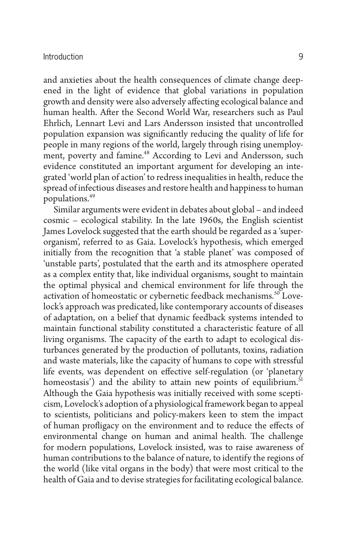and anxieties about the health consequences of climate change deepened in the light of evidence that global variations in population growth and density were also adversely affecting ecological balance and human health. After the Second World War, researchers such as Paul Ehrlich, Lennart Levi and Lars Andersson insisted that uncontrolled population expansion was significantly reducing the quality of life for people in many regions of the world, largely through rising unemployment, poverty and famine.<sup>48</sup> According to Levi and Andersson, such evidence constituted an important argument for developing an integrated 'world plan of action' to redress inequalities in health, reduce the spread of infectious diseases and restore health and happiness to human populations. 49

 Similar arguments were evident in debates about global – and indeed cosmic – ecological stability. In the late 1960s, the English scientist James Lovelock suggested that the earth should be regarded as a 'superorganism', referred to as Gaia. Lovelock's hypothesis, which emerged initially from the recognition that 'a stable planet' was composed of 'unstable parts', postulated that the earth and its atmosphere operated as a complex entity that, like individual organisms, sought to maintain the optimal physical and chemical environment for life through the activation of homeostatic or cybernetic feedback mechanisms.<sup>50</sup> Lovelock's approach was predicated, like contemporary accounts of diseases of adaptation, on a belief that dynamic feedback systems intended to maintain functional stability constituted a characteristic feature of all living organisms. The capacity of the earth to adapt to ecological disturbances generated by the production of pollutants, toxins, radiation and waste materials, like the capacity of humans to cope with stressful life events, was dependent on effective self-regulation (or 'planetary homeostasis') and the ability to attain new points of equilibrium.<sup>51</sup> Although the Gaia hypothesis was initially received with some scepticism, Lovelock's adoption of a physiological framework began to appeal to scientists, politicians and policy-makers keen to stem the impact of human profligacy on the environment and to reduce the effects of environmental change on human and animal health. The challenge for modern populations, Lovelock insisted, was to raise awareness of human contributions to the balance of nature, to identify the regions of the world (like vital organs in the body) that were most critical to the health of Gaia and to devise strategies for facilitating ecological balance.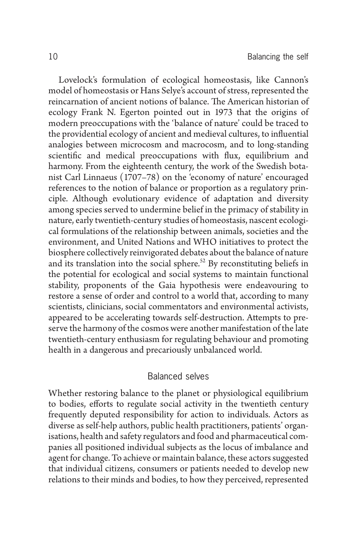Lovelock's formulation of ecological homeostasis, like Cannon's model of homeostasis or Hans Selye's account of stress, represented the reincarnation of ancient notions of balance. The American historian of ecology Frank N. Egerton pointed out in 1973 that the origins of modern preoccupations with the 'balance of nature' could be traced to the providential ecology of ancient and medieval cultures, to influential analogies between microcosm and macrocosm, and to long-standing scientific and medical preoccupations with flux, equilibrium and harmony. From the eighteenth century, the work of the Swedish botanist Carl Linnaeus (1707–78) on the 'economy of nature' encouraged references to the notion of balance or proportion as a regulatory principle. Although evolutionary evidence of adaptation and diversity among species served to undermine belief in the primacy of stability in nature, early twentieth-century studies of homeostasis, nascent ecological formulations of the relationship between animals, societies and the environment, and United Nations and WHO initiatives to protect the biosphere collectively reinvigorated debates about the balance of nature and its translation into the social sphere.<sup>52</sup> By reconstituting beliefs in the potential for ecological and social systems to maintain functional stability, proponents of the Gaia hypothesis were endeavouring to restore a sense of order and control to a world that, according to many scientists, clinicians, social commentators and environmental activists, appeared to be accelerating towards self-destruction. Attempts to preserve the harmony of the cosmos were another manifestation of the late twentieth-century enthusiasm for regulating behaviour and promoting health in a dangerous and precariously unbalanced world.

# Balanced selves

 Whether restoring balance to the planet or physiological equilibrium to bodies, efforts to regulate social activity in the twentieth century frequently deputed responsibility for action to individuals. Actors as diverse as self-help authors, public health practitioners, patients' organisations, health and safety regulators and food and pharmaceutical companies all positioned individual subjects as the locus of imbalance and agent for change. To achieve or maintain balance, these actors suggested that individual citizens, consumers or patients needed to develop new relations to their minds and bodies, to how they perceived, represented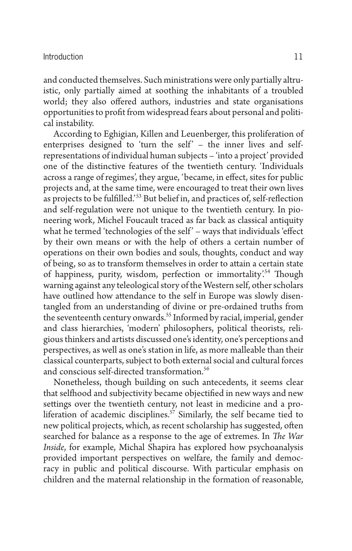and conducted themselves. Such ministrations were only partially altruistic, only partially aimed at soothing the inhabitants of a troubled world; they also offered authors, industries and state organisations opportunities to profit from widespread fears about personal and political instability.

 According to Eghigian, Killen and Leuenberger, this proliferation of enterprises designed to 'turn the self' - the inner lives and selfrepresentations of individual human subjects – 'into a project' provided one of the distinctive features of the twentieth century. 'Individuals across a range of regimes', they argue, 'became, in effect, sites for public projects and, at the same time, were encouraged to treat their own lives as projects to be fulfilled.<sup>53</sup> But belief in, and practices of, self-reflection and self-regulation were not unique to the twentieth century. In pioneering work, Michel Foucault traced as far back as classical antiquity what he termed 'technologies of the self' - ways that individuals 'effect by their own means or with the help of others a certain number of operations on their own bodies and souls, thoughts, conduct and way of being, so as to transform themselves in order to attain a certain state of happiness, purity, wisdom, perfection or immortality'.<sup>54</sup> Though warning against any teleological story of the Western self, other scholars have outlined how attendance to the self in Europe was slowly disentangled from an understanding of divine or pre-ordained truths from the seventeenth century onwards.<sup>55</sup> Informed by racial, imperial, gender and class hierarchies, 'modern' philosophers, political theorists, religious thinkers and artists discussed one's identity, one's perceptions and perspectives, as well as one's station in life, as more malleable than their classical counterparts, subject to both external social and cultural forces and conscious self-directed transformation. 56

 Nonetheless, though building on such antecedents, it seems clear that selfhood and subjectivity became objectified in new ways and new settings over the twentieth century, not least in medicine and a proliferation of academic disciplines.<sup>57</sup> Similarly, the self became tied to new political projects, which, as recent scholarship has suggested, often searched for balance as a response to the age of extremes. In *The War Inside* , for example, Michal Shapira has explored how psychoanalysis provided important perspectives on welfare, the family and democracy in public and political discourse. With particular emphasis on children and the maternal relationship in the formation of reasonable,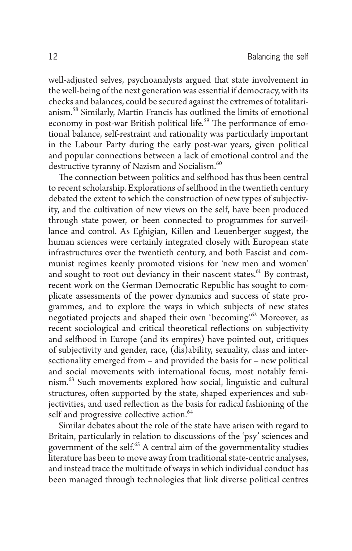well-adjusted selves, psychoanalysts argued that state involvement in the well-being of the next generation was essential if democracy, with its checks and balances, could be secured against the extremes of totalitarianism. 58 Similarly, Martin Francis has outlined the limits of emotional economy in post-war British political life.<sup>59</sup> The performance of emotional balance, self-restraint and rationality was particularly important in the Labour Party during the early post-war years, given political and popular connections between a lack of emotional control and the destructive tyranny of Nazism and Socialism.<sup>60</sup>

The connection between politics and selfhood has thus been central to recent scholarship. Explorations of selfhood in the twentieth century debated the extent to which the construction of new types of subjectivity, and the cultivation of new views on the self, have been produced through state power, or been connected to programmes for surveillance and control. As Eghigian, Killen and Leuenberger suggest, the human sciences were certainly integrated closely with European state infrastructures over the twentieth century, and both Fascist and communist regimes keenly promoted visions for 'new men and women' and sought to root out deviancy in their nascent states.<sup>61</sup> By contrast, recent work on the German Democratic Republic has sought to complicate assessments of the power dynamics and success of state programmes, and to explore the ways in which subjects of new states negotiated projects and shaped their own 'becoming'.<sup>62</sup> Moreover, as recent sociological and critical theoretical reflections on subjectivity and selfhood in Europe (and its empires) have pointed out, critiques of subjectivity and gender, race, (dis)ability, sexuality, class and intersectionality emerged from – and provided the basis for – new political and social movements with international focus, most notably feminism. 63 Such movements explored how social, linguistic and cultural structures, often supported by the state, shaped experiences and subjectivities, and used reflection as the basis for radical fashioning of the self and progressive collective action.<sup>64</sup>

 Similar debates about the role of the state have arisen with regard to Britain, particularly in relation to discussions of the 'psy' sciences and government of the self.<sup>65</sup> A central aim of the governmentality studies literature has been to move away from traditional state-centric analyses, and instead trace the multitude of ways in which individual conduct has been managed through technologies that link diverse political centres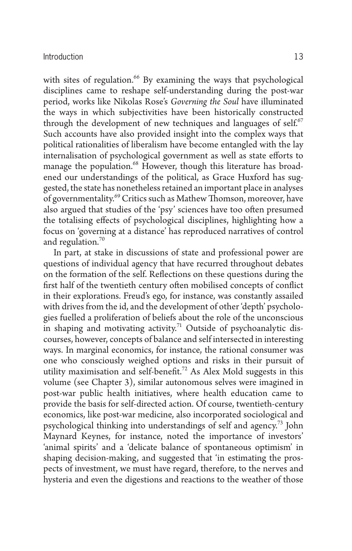with sites of regulation.<sup>66</sup> By examining the ways that psychological disciplines came to reshape self-understanding during the post-war period, works like Nikolas Rose's *Governing the Soul* have illuminated the ways in which subjectivities have been historically constructed through the development of new techniques and languages of self.<sup>67</sup> Such accounts have also provided insight into the complex ways that political rationalities of liberalism have become entangled with the lay internalisation of psychological government as well as state efforts to manage the population.<sup>68</sup> However, though this literature has broadened our understandings of the political, as Grace Huxford has suggested, the state has nonetheless retained an important place in analyses of governmentality.<sup>69</sup> Critics such as Mathew Thomson, moreover, have also argued that studies of the 'psy' sciences have too often presumed the totalising effects of psychological disciplines, highlighting how a focus on 'governing at a distance' has reproduced narratives of control and regulation.<sup>70</sup>

 In part, at stake in discussions of state and professional power are questions of individual agency that have recurred throughout debates on the formation of the self. Reflections on these questions during the first half of the twentieth century often mobilised concepts of conflict in their explorations. Freud's ego, for instance, was constantly assailed with drives from the id, and the development of other 'depth' psychologies fuelled a proliferation of beliefs about the role of the unconscious in shaping and motivating activity.<sup>71</sup> Outside of psychoanalytic discourses, however, concepts of balance and self intersected in interesting ways. In marginal economics, for instance, the rational consumer was one who consciously weighed options and risks in their pursuit of utility maximisation and self-benefit.<sup>72</sup> As Alex Mold suggests in this volume (see Chapter 3), similar autonomous selves were imagined in post-war public health initiatives, where health education came to provide the basis for self-directed action. Of course, twentieth-century economics, like post-war medicine, also incorporated sociological and psychological thinking into understandings of self and agency.<sup>73</sup> John Maynard Keynes, for instance, noted the importance of investors' 'animal spirits' and a 'delicate balance of spontaneous optimism' in shaping decision-making, and suggested that 'in estimating the prospects of investment, we must have regard, therefore, to the nerves and hysteria and even the digestions and reactions to the weather of those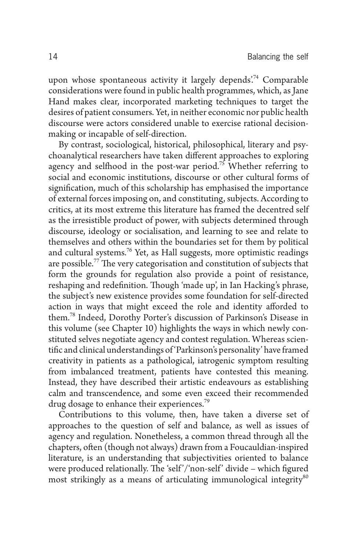upon whose spontaneous activity it largely depends.<sup>74</sup> Comparable considerations were found in public health programmes, which, as Jane Hand makes clear, incorporated marketing techniques to target the desires of patient consumers. Yet, in neither economic nor public health discourse were actors considered unable to exercise rational decisionmaking or incapable of self-direction.

 By contrast, sociological, historical, philosophical, literary and psychoanalytical researchers have taken different approaches to exploring agency and selfhood in the post-war period.<sup>75</sup> Whether referring to social and economic institutions, discourse or other cultural forms of signification, much of this scholarship has emphasised the importance of external forces imposing on, and constituting, subjects. According to critics, at its most extreme this literature has framed the decentred self as the irresistible product of power, with subjects determined through discourse, ideology or socialisation, and learning to see and relate to themselves and others within the boundaries set for them by political and cultural systems.<sup>76</sup> Yet, as Hall suggests, more optimistic readings are possible.<sup>77</sup> The very categorisation and constitution of subjects that form the grounds for regulation also provide a point of resistance, reshaping and redefinition. Though 'made up', in Ian Hacking's phrase, the subject's new existence provides some foundation for self-directed action in ways that might exceed the role and identity afforded to them.<sup>78</sup> Indeed, Dorothy Porter's discussion of Parkinson's Disease in this volume (see Chapter 10) highlights the ways in which newly constituted selves negotiate agency and contest regulation. Whereas scientific and clinical understandings of 'Parkinson's personality' have framed creativity in patients as a pathological, iatrogenic symptom resulting from imbalanced treatment, patients have contested this meaning. Instead, they have described their artistic endeavours as establishing calm and transcendence, and some even exceed their recommended drug dosage to enhance their experiences.<sup>79</sup>

 Contributions to this volume, then, have taken a diverse set of approaches to the question of self and balance, as well as issues of agency and regulation. Nonetheless, a common thread through all the chapters, often (though not always) drawn from a Foucauldian-inspired literature, is an understanding that subjectivities oriented to balance were produced relationally. The 'self'/'non-self' divide – which figured most strikingly as a means of articulating immunological integrity<sup>80</sup>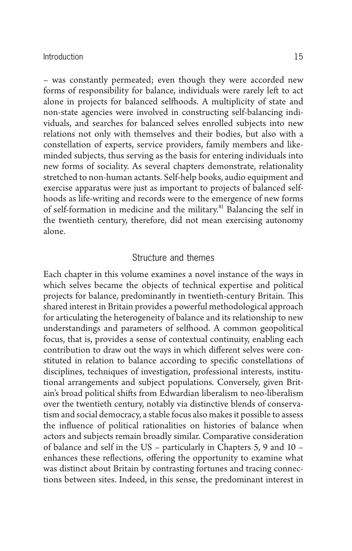– was constantly permeated; even though they were accorded new forms of responsibility for balance, individuals were rarely left to act alone in projects for balanced selfhoods. A multiplicity of state and non-state agencies were involved in constructing self-balancing individuals, and searches for balanced selves enrolled subjects into new relations not only with themselves and their bodies, but also with a constellation of experts, service providers, family members and likeminded subjects, thus serving as the basis for entering individuals into new forms of sociality. As several chapters demonstrate, relationality stretched to non-human actants. Self-help books, audio equipment and exercise apparatus were just as important to projects of balanced selfhoods as life-writing and records were to the emergence of new forms of self-formation in medicine and the military.<sup>81</sup> Balancing the self in the twentieth century, therefore, did not mean exercising autonomy alone.

# Structure and themes

 Each chapter in this volume examines a novel instance of the ways in which selves became the objects of technical expertise and political projects for balance, predominantly in twentieth-century Britain. This shared interest in Britain provides a powerful methodological approach for articulating the heterogeneity of balance and its relationship to new understandings and parameters of selfhood. A common geopolitical focus, that is, provides a sense of contextual continuity, enabling each contribution to draw out the ways in which different selves were constituted in relation to balance according to specific constellations of disciplines, techniques of investigation, professional interests, institutional arrangements and subject populations. Conversely, given Britain's broad political shifts from Edwardian liberalism to neo-liberalism over the twentieth century, notably via distinctive blends of conservatism and social democracy, a stable focus also makes it possible to assess the influence of political rationalities on histories of balance when actors and subjects remain broadly similar. Comparative consideration of balance and self in the US – particularly in Chapters  $5, 9$  and  $10$  – enhances these reflections, offering the opportunity to examine what was distinct about Britain by contrasting fortunes and tracing connections between sites. Indeed, in this sense, the predominant interest in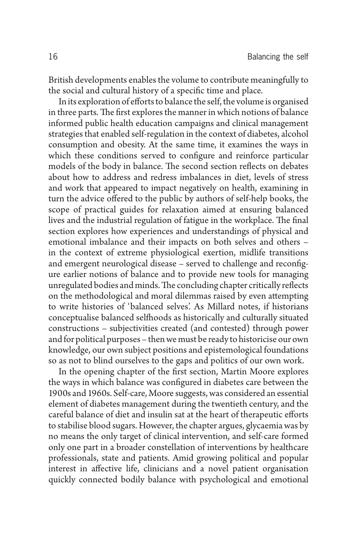British developments enables the volume to contribute meaningfully to the social and cultural history of a specific time and place.

In its exploration of efforts to balance the self, the volume is organised in three parts. The first explores the manner in which notions of balance informed public health education campaigns and clinical management strategies that enabled self-regulation in the context of diabetes, alcohol consumption and obesity. At the same time, it examines the ways in which these conditions served to configure and reinforce particular models of the body in balance. The second section reflects on debates about how to address and redress imbalances in diet, levels of stress and work that appeared to impact negatively on health, examining in turn the advice offered to the public by authors of self-help books, the scope of practical guides for relaxation aimed at ensuring balanced lives and the industrial regulation of fatigue in the workplace. The final section explores how experiences and understandings of physical and emotional imbalance and their impacts on both selves and others – in the context of extreme physiological exertion, midlife transitions and emergent neurological disease – served to challenge and reconfigure earlier notions of balance and to provide new tools for managing unregulated bodies and minds. The concluding chapter critically reflects on the methodological and moral dilemmas raised by even attempting to write histories of 'balanced selves'. As Millard notes, if historians conceptualise balanced selfhoods as historically and culturally situated constructions – subjectivities created (and contested) through power and for political purposes – then we must be ready to historicise our own knowledge, our own subject positions and epistemological foundations so as not to blind ourselves to the gaps and politics of our own work.

In the opening chapter of the first section, Martin Moore explores the ways in which balance was configured in diabetes care between the 1900s and 1960s. Self-care, Moore suggests, was considered an essential element of diabetes management during the twentieth century, and the careful balance of diet and insulin sat at the heart of therapeutic efforts to stabilise blood sugars. However, the chapter argues, glycaemia was by no means the only target of clinical intervention, and self-care formed only one part in a broader constellation of interventions by healthcare professionals, state and patients. Amid growing political and popular interest in affective life, clinicians and a novel patient organisation quickly connected bodily balance with psychological and emotional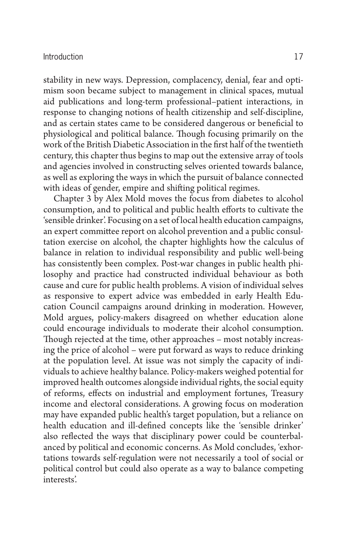stability in new ways. Depression, complacency, denial, fear and optimism soon became subject to management in clinical spaces, mutual aid publications and long-term professional–patient interactions, in response to changing notions of health citizenship and self-discipline, and as certain states came to be considered dangerous or beneficial to physiological and political balance. Though focusing primarily on the work of the British Diabetic Association in the first half of the twentieth century, this chapter thus begins to map out the extensive array of tools and agencies involved in constructing selves oriented towards balance, as well as exploring the ways in which the pursuit of balance connected with ideas of gender, empire and shifting political regimes.

 Chapter 3 by Alex Mold moves the focus from diabetes to alcohol consumption, and to political and public health efforts to cultivate the 'sensible drinker'. Focusing on a set of local health education campaigns, an expert committee report on alcohol prevention and a public consultation exercise on alcohol, the chapter highlights how the calculus of balance in relation to individual responsibility and public well-being has consistently been complex. Post-war changes in public health philosophy and practice had constructed individual behaviour as both cause and cure for public health problems. A vision of individual selves as responsive to expert advice was embedded in early Health Education Council campaigns around drinking in moderation. However, Mold argues, policy-makers disagreed on whether education alone could encourage individuals to moderate their alcohol consumption. Though rejected at the time, other approaches – most notably increasing the price of alcohol – were put forward as ways to reduce drinking at the population level. At issue was not simply the capacity of individuals to achieve healthy balance. Policy-makers weighed potential for improved health outcomes alongside individual rights, the social equity of reforms, effects on industrial and employment fortunes, Treasury income and electoral considerations. A growing focus on moderation may have expanded public health's target population, but a reliance on health education and ill-defined concepts like the 'sensible drinker' also reflected the ways that disciplinary power could be counterbalanced by political and economic concerns. As Mold concludes, 'exhortations towards self-regulation were not necessarily a tool of social or political control but could also operate as a way to balance competing interests'.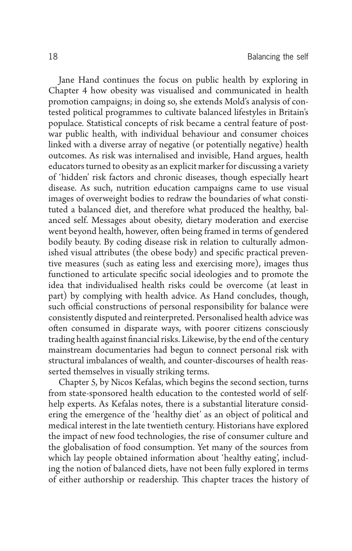Jane Hand continues the focus on public health by exploring in Chapter 4 how obesity was visualised and communicated in health promotion campaigns; in doing so, she extends Mold's analysis of contested political programmes to cultivate balanced lifestyles in Britain's populace. Statistical concepts of risk became a central feature of postwar public health, with individual behaviour and consumer choices linked with a diverse array of negative (or potentially negative) health outcomes. As risk was internalised and invisible, Hand argues, health educators turned to obesity as an explicit marker for discussing a variety of 'hidden' risk factors and chronic diseases, though especially heart disease. As such, nutrition education campaigns came to use visual images of overweight bodies to redraw the boundaries of what constituted a balanced diet, and therefore what produced the healthy, balanced self. Messages about obesity, dietary moderation and exercise went beyond health, however, often being framed in terms of gendered bodily beauty. By coding disease risk in relation to culturally admonished visual attributes (the obese body) and specific practical preventive measures (such as eating less and exercising more), images thus functioned to articulate specific social ideologies and to promote the idea that individualised health risks could be overcome (at least in part) by complying with health advice. As Hand concludes, though, such official constructions of personal responsibility for balance were consistently disputed and reinterpreted. Personalised health advice was often consumed in disparate ways, with poorer citizens consciously trading health against financial risks. Likewise, by the end of the century mainstream documentaries had begun to connect personal risk with structural imbalances of wealth, and counter-discourses of health reasserted themselves in visually striking terms.

Chapter 5, by Nicos Kefalas, which begins the second section, turns from state-sponsored health education to the contested world of selfhelp experts. As Kefalas notes, there is a substantial literature considering the emergence of the 'healthy diet' as an object of political and medical interest in the late twentieth century. Historians have explored the impact of new food technologies, the rise of consumer culture and the globalisation of food consumption. Yet many of the sources from which lay people obtained information about 'healthy eating', including the notion of balanced diets, have not been fully explored in terms of either authorship or readership. This chapter traces the history of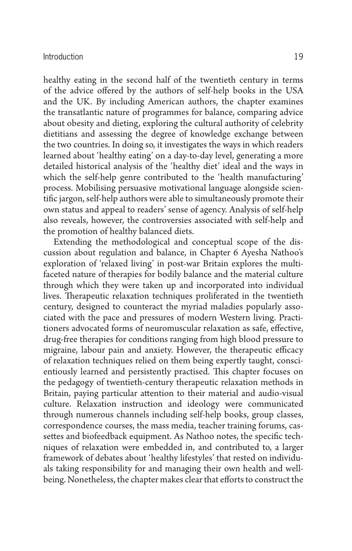healthy eating in the second half of the twentieth century in terms of the advice offered by the authors of self-help books in the USA and the UK. By including American authors, the chapter examines the transatlantic nature of programmes for balance, comparing advice about obesity and dieting, exploring the cultural authority of celebrity dietitians and assessing the degree of knowledge exchange between the two countries. In doing so, it investigates the ways in which readers learned about 'healthy eating' on a day-to-day level, generating a more detailed historical analysis of the 'healthy diet' ideal and the ways in which the self-help genre contributed to the 'health manufacturing' process. Mobilising persuasive motivational language alongside scientific jargon, self-help authors were able to simultaneously promote their own status and appeal to readers' sense of agency. Analysis of self-help also reveals, however, the controversies associated with self-help and the promotion of healthy balanced diets.

 Extending the methodological and conceptual scope of the discussion about regulation and balance, in Chapter 6 Ayesha Nathoo's exploration of 'relaxed living' in post-war Britain explores the multifaceted nature of therapies for bodily balance and the material culture through which they were taken up and incorporated into individual lives. Therapeutic relaxation techniques proliferated in the twentieth century, designed to counteract the myriad maladies popularly associated with the pace and pressures of modern Western living. Practitioners advocated forms of neuromuscular relaxation as safe, effective, drug-free therapies for conditions ranging from high blood pressure to migraine, labour pain and anxiety. However, the therapeutic efficacy of relaxation techniques relied on them being expertly taught, conscientiously learned and persistently practised. This chapter focuses on the pedagogy of twentieth-century therapeutic relaxation methods in Britain, paying particular attention to their material and audio-visual culture. Relaxation instruction and ideology were communicated through numerous channels including self-help books, group classes, correspondence courses, the mass media, teacher training forums, cassettes and biofeedback equipment. As Nathoo notes, the specific techniques of relaxation were embedded in, and contributed to, a larger framework of debates about 'healthy lifestyles' that rested on individuals taking responsibility for and managing their own health and wellbeing. Nonetheless, the chapter makes clear that efforts to construct the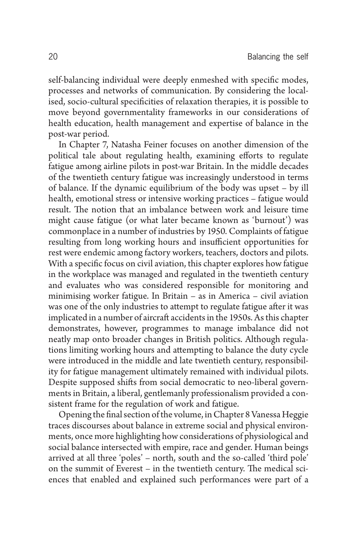self-balancing individual were deeply enmeshed with specific modes, processes and networks of communication. By considering the localised, socio-cultural specificities of relaxation therapies, it is possible to move beyond governmentality frameworks in our considerations of health education, health management and expertise of balance in the post-war period.

In Chapter 7, Natasha Feiner focuses on another dimension of the political tale about regulating health, examining efforts to regulate fatigue among airline pilots in post-war Britain. In the middle decades of the twentieth century fatigue was increasingly understood in terms of balance. If the dynamic equilibrium of the body was upset – by ill health, emotional stress or intensive working practices – fatigue would result. The notion that an imbalance between work and leisure time might cause fatigue (or what later became known as 'burnout') was commonplace in a number of industries by 1950. Complaints of fatigue resulting from long working hours and insufficient opportunities for rest were endemic among factory workers, teachers, doctors and pilots. With a specific focus on civil aviation, this chapter explores how fatigue in the workplace was managed and regulated in the twentieth century and evaluates who was considered responsible for monitoring and minimising worker fatigue. In Britain – as in America – civil aviation was one of the only industries to attempt to regulate fatigue after it was implicated in a number of aircraft accidents in the 1950s. As this chapter demonstrates, however, programmes to manage imbalance did not neatly map onto broader changes in British politics. Although regulations limiting working hours and attempting to balance the duty cycle were introduced in the middle and late twentieth century, responsibility for fatigue management ultimately remained with individual pilots. Despite supposed shifts from social democratic to neo-liberal governments in Britain, a liberal, gentlemanly professionalism provided a consistent frame for the regulation of work and fatigue.

Opening the final section of the volume, in Chapter 8 Vanessa Heggie traces discourses about balance in extreme social and physical environments, once more highlighting how considerations of physiological and social balance intersected with empire, race and gender. Human beings arrived at all three 'poles' – north, south and the so-called 'third pole' on the summit of Everest – in the twentieth century. The medical sciences that enabled and explained such performances were part of a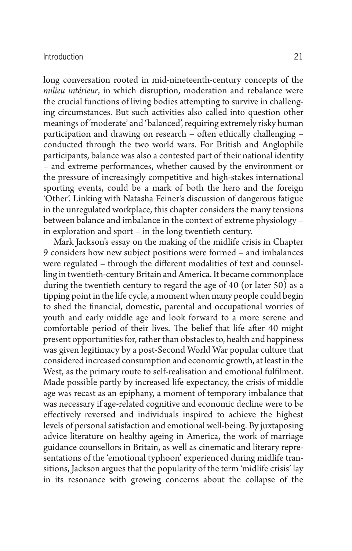long conversation rooted in mid-nineteenth-century concepts of the *milieu intérieur*, in which disruption, moderation and rebalance were the crucial functions of living bodies attempting to survive in challenging circumstances. But such activities also called into question other meanings of 'moderate' and 'balanced', requiring extremely risky human participation and drawing on research – often ethically challenging – conducted through the two world wars. For British and Anglophile participants, balance was also a contested part of their national identity – and extreme performances, whether caused by the environment or the pressure of increasingly competitive and high-stakes international sporting events, could be a mark of both the hero and the foreign 'Other'. Linking with Natasha Feiner's discussion of dangerous fatigue in the unregulated workplace, this chapter considers the many tensions between balance and imbalance in the context of extreme physiology – in exploration and sport – in the long twentieth century.

Mark Jackson's essay on the making of the midlife crisis in Chapter 9 considers how new subject positions were formed – and imbalances were regulated - through the different modalities of text and counselling in twentieth-century Britain and America. It became commonplace during the twentieth century to regard the age of 40 (or later 50) as a tipping point in the life cycle, a moment when many people could begin to shed the financial, domestic, parental and occupational worries of youth and early middle age and look forward to a more serene and comfortable period of their lives. The belief that life after 40 might present opportunities for, rather than obstacles to, health and happiness was given legitimacy by a post-Second World War popular culture that considered increased consumption and economic growth, at least in the West, as the primary route to self-realisation and emotional fulfilment. Made possible partly by increased life expectancy, the crisis of middle age was recast as an epiphany, a moment of temporary imbalance that was necessary if age-related cognitive and economic decline were to be effectively reversed and individuals inspired to achieve the highest levels of personal satisfaction and emotional well-being. By juxtaposing advice literature on healthy ageing in America, the work of marriage guidance counsellors in Britain, as well as cinematic and literary representations of the 'emotional typhoon' experienced during midlife transitions, Jackson argues that the popularity of the term 'midlife crisis' lay in its resonance with growing concerns about the collapse of the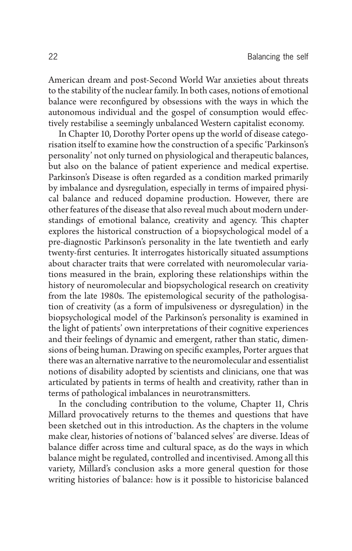American dream and post-Second World War anxieties about threats to the stability of the nuclear family. In both cases, notions of emotional balance were reconfigured by obsessions with the ways in which the autonomous individual and the gospel of consumption would effectively restabilise a seemingly unbalanced Western capitalist economy.

In Chapter 10, Dorothy Porter opens up the world of disease categorisation itself to examine how the construction of a specific 'Parkinson's personality' not only turned on physiological and therapeutic balances, but also on the balance of patient experience and medical expertise. Parkinson's Disease is often regarded as a condition marked primarily by imbalance and dysregulation, especially in terms of impaired physical balance and reduced dopamine production. However, there are other features of the disease that also reveal much about modern understandings of emotional balance, creativity and agency. This chapter explores the historical construction of a biopsychological model of a pre-diagnostic Parkinson's personality in the late twentieth and early twenty-first centuries. It interrogates historically situated assumptions about character traits that were correlated with neuromolecular variations measured in the brain, exploring these relationships within the history of neuromolecular and biopsychological research on creativity from the late 1980s. The epistemological security of the pathologisation of creativity (as a form of impulsiveness or dysregulation) in the biopsychological model of the Parkinson's personality is examined in the light of patients' own interpretations of their cognitive experiences and their feelings of dynamic and emergent, rather than static, dimensions of being human. Drawing on specific examples, Porter argues that there was an alternative narrative to the neuromolecular and essentialist notions of disability adopted by scientists and clinicians, one that was articulated by patients in terms of health and creativity, rather than in terms of pathological imbalances in neurotransmitters.

In the concluding contribution to the volume, Chapter 11, Chris Millard provocatively returns to the themes and questions that have been sketched out in this introduction. As the chapters in the volume make clear, histories of notions of 'balanced selves' are diverse. Ideas of balance differ across time and cultural space, as do the ways in which balance might be regulated, controlled and incentivised. Among all this variety, Millard's conclusion asks a more general question for those writing histories of balance: how is it possible to historicise balanced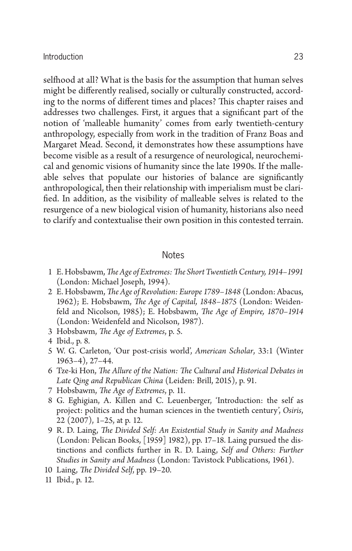selfhood at all? What is the basis for the assumption that human selves might be differently realised, socially or culturally constructed, according to the norms of different times and places? This chapter raises and addresses two challenges. First, it argues that a significant part of the notion of 'malleable humanity' comes from early twentieth-century anthropology, especially from work in the tradition of Franz Boas and Margaret Mead. Second, it demonstrates how these assumptions have become visible as a result of a resurgence of neurological, neurochemical and genomic visions of humanity since the late 1990s. If the malleable selves that populate our histories of balance are significantly anthropological, then their relationship with imperialism must be clarified. In addition, as the visibility of malleable selves is related to the resurgence of a new biological vision of humanity, historians also need to clarify and contextualise their own position in this contested terrain.

#### **Notes**

- 1 E. Hobsbawm, *The Age of Extremes: The Short Twentieth Century*, 1914–1991 (London: Michael Joseph, 1994).
- 2 E. Hobsbawm, *The Age of Revolution: Europe 1789-1848* (London: Abacus, 1962); E. Hobsbawm, *The Age of Capital*, 1848-1875 (London: Weidenfeld and Nicolson, 1985); E. Hobsbawm, *The Age of Empire*, 1870-1914 (London: Weidenfeld and Nicolson, 1987).
- 3 Hobsbawm, *The Age of Extremes*, p. 5.
- 4 Ibid., p. 8.
- 5 W. G. Carleton, 'Our post-crisis world', *American Scholar* , 33:1 (Winter 1963–4), 27–44.
- 6 Tze-ki Hon, *The Allure of the Nation: The Cultural and Historical Debates in Late Qing and Republican China* (Leiden: Brill, 2015), p. 91.
- 7 Hobsbawm, *The Age of Extremes*, p. 11.
- 8 G. Eghigian, A. Killen and C. Leuenberger, 'Introduction: the self as project: politics and the human sciences in the twentieth century', *Osiris* , 22 (2007), 1–25, at p. 12.
- 9 R. D. Laing, *The Divided Self: An Existential Study in Sanity and Madness* (London: Pelican Books, [1959] 1982), pp. 17–18. Laing pursued the distinctions and conflicts further in R. D. Laing, *Self and Others: Further Studies in Sanity and Madness* (London: Tavistock Publications, 1961).
- 10 Laing, *The Divided Self*, pp. 19–20.
- 11 Ibid., p. 12.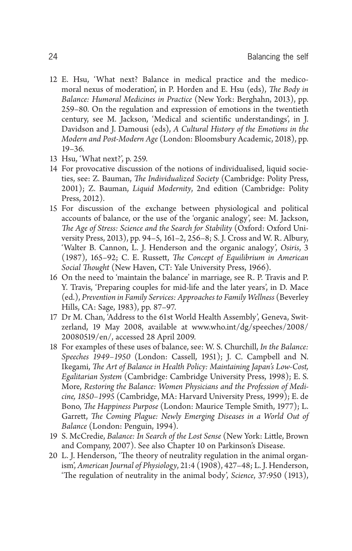- 12 E. Hsu, 'What next? Balance in medical practice and the medicomoral nexus of moderation', in P. Horden and E. Hsu (eds), *The Body in Balance: Humoral Medicines in Practice* (New York: Berghahn, 2013), pp. 259–80. On the regulation and expression of emotions in the twentieth century, see M. Jackson, 'Medical and scientific understandings', in J. Davidson and J. Damousi (eds), *A Cultural History of the Emotions in the Modern and Post-Modern Age* (London: Bloomsbury Academic, 2018), pp. 19–36.
- 13 Hsu, 'What next?', p. 259.
- 14 For provocative discussion of the notions of individualised, liquid societies, see: Z. Bauman, *The Individualized Society* (Cambridge: Polity Press, 2001); Z. Bauman, *Liquid Modernity*, 2nd edition (Cambridge: Polity Press, 2012).
- 15 For discussion of the exchange between physiological and political accounts of balance, or the use of the 'organic analogy', see: M. Jackson, The Age of Stress: Science and the Search for Stability (Oxford: Oxford University Press, 2013), pp. 94–5, 161–2, 256–8; S. J. Cross and W. R. Albury, 'Walter B. Cannon, L. J. Henderson and the organic analogy', Osiris, 3 (1987), 165-92; C. E. Russett, *The Concept of Equilibrium in American* Social Thought (New Haven, CT: Yale University Press, 1966).
- 16 On the need to 'maintain the balance' in marriage, see R. P. Travis and P. Y. Travis, 'Preparing couples for mid-life and the later years', in D. Mace (ed.), *Prevention in Family Services: Approaches to Family Wellness* (Beverley Hills, CA: Sage, 1983), pp. 87–97.
- 17 Dr M. Chan, 'Address to the 61st World Health Assembly', Geneva, Switzerland, 19 May 2008, available at www.who.int/dg/speeches/2008/ 20080519/en/ , accessed 28 April 2009.
- 18 For examples of these uses of balance, see: W. S. Churchill, *In the Balance: Speeches 1949–1950* (London: Cassell, 1951); J. C. Campbell and N. Ikegami, *The Art of Balance in Health Policy: Maintaining Japan's Low-Cost, Egalitarian System* (Cambridge: Cambridge University Press, 1998); E. S. More, *Restoring the Balance: Women Physicians and the Profession of Medicine, 1850–1995* (Cambridge, MA: Harvard University Press, 1999); E. de Bono, *The Happiness Purpose* (London: Maurice Temple Smith, 1977); L. Garrett, *The Coming Plague: Newly Emerging Diseases in a World Out of Balance* (London: Penguin, 1994).
- 19 S. McCredie, *Balance: In Search of the Lost Sense* (New York: Little, Brown and Company, 2007). See also Chapter 10 on Parkinson's Disease.
- 20 L. J. Henderson, 'The theory of neutrality regulation in the animal organism', *American Journal of Physiology* , 21:4 (1908), 427–48; L. J. Henderson, "The regulation of neutrality in the animal body', *Science*, 37:950 (1913),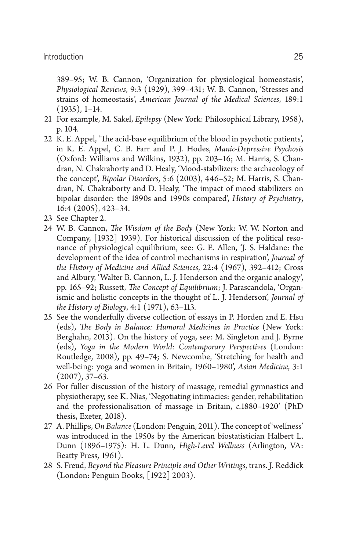389–95; W. B. Cannon, 'Organization for physiological homeostasis', *Physiological Reviews* , 9:3 (1929), 399–431; W. B. Cannon, 'Stresses and strains of homeostasis', American Journal of the Medical Sciences, 189:1 (1935), 1–14.

- 21 For example, M. Sakel, *Epilepsy* (New York: Philosophical Library, 1958), p. 104.
- 22 K. E. Appel, 'The acid-base equilibrium of the blood in psychotic patients', in K. E. Appel, C. B. Farr and P. J. Hodes, *Manic-Depressive Psychosis* (Oxford: Williams and Wilkins, 1932), pp. 203–16; M. Harris, S. Chandran, N. Chakraborty and D. Healy, 'Mood-stabilizers: the archaeology of the concept', *Bipolar Disorders* , 5:6 (2003), 446–52; M. Harris, S. Chandran, N. Chakraborty and D. Healy, 'The impact of mood stabilizers on bipolar disorder: the 1890s and 1990s compared', *History of Psychiatry* , 16:4 (2005), 423–34.
- 23 See Chapter 2.
- 24 W. B. Cannon, *The Wisdom of the Body* (New York: W. W. Norton and Company, [1932] 1939). For historical discussion of the political resonance of physiological equilibrium, see: G. E. Allen, 'J. S. Haldane: the development of the idea of control mechanisms in respiration', *Journal of the History of Medicine and Allied Sciences* , 22:4 (1967), 392–412; Cross and Albury, 'Walter B. Cannon, L. J. Henderson and the organic analogy', pp. 165–92; Russett, *The Concept of Equilibrium*; J. Parascandola, 'Organismic and holistic concepts in the thought of L. J. Henderson', *Journal of the History of Biology* , 4:1 (1971), 63–113.
- 25 See the wonderfully diverse collection of essays in P. Horden and E. Hsu (eds), *The Body in Balance: Humoral Medicines in Practice* (New York: Berghahn, 2013). On the history of yoga, see: M. Singleton and J. Byrne (eds), *Yoga in the Modern World: Contemporary Perspectives* (London: Routledge, 2008), pp. 49–74; S. Newcombe, 'Stretching for health and well-being: yoga and women in Britain, 1960–1980', Asian Medicine, 3:1 (2007), 37–63.
- 26 For fuller discussion of the history of massage, remedial gymnastics and physiotherapy, see K. Nias, 'Negotiating intimacies: gender, rehabilitation and the professionalisation of massage in Britain, *c* .1880–1920' (PhD thesis, Exeter, 2018).
- 27 A. Phillips, *On Balance* (London: Penguin, 2011). The concept of 'wellness' was introduced in the 1950s by the American biostatistician Halbert L. Dunn (1896–1975): H. L. Dunn, *High-Level Wellness* (Arlington, VA: Beatty Press, 1961).
- 28 S. Freud, *Beyond the Pleasure Principle and Other Writings* , trans. J. Reddick (London: Penguin Books, [1922] 2003).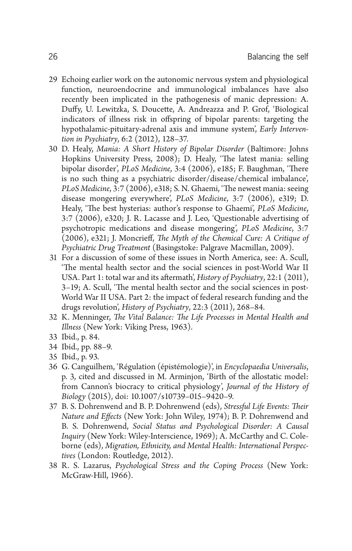- 29 Echoing earlier work on the autonomic nervous system and physiological function, neuroendocrine and immunological imbalances have also recently been implicated in the pathogenesis of manic depression: A. Duffy, U. Lewitzka, S. Doucette, A. Andreazza and P. Grof, 'Biological indicators of illness risk in offspring of bipolar parents: targeting the hypothalamic-pituitary-adrenal axis and immune system', *Early Intervention in Psychiatry* , 6:2 (2012), 128–37.
- 30 D. Healy, *Mania: A Short History of Bipolar Disorder* (Baltimore: Johns Hopkins University Press, 2008); D. Healy, 'The latest mania: selling bipolar disorder', *PLoS Medicine*, 3:4 (2006), e185; F. Baughman, 'There is no such thing as a psychiatric disorder/disease/chemical imbalance', *PLoS Medicine*, 3:7 (2006), e318; S. N. Ghaemi, 'The newest mania: seeing disease mongering everywhere', *PLoS Medicine*, 3:7 (2006), e319; D. Healy, 'The best hysterias: author's response to Ghaemi', *PLoS Medicine*, 3:7 (2006), e320; J. R. Lacasse and J. Leo, 'Questionable advertising of psychotropic medications and disease mongering', *PLoS Medicine*, 3:7 (2006), e321; J. Moncrieff, *The Myth of the Chemical Cure: A Critique of Psychiatric Drug Treatment* (Basingstoke: Palgrave Macmillan, 2009).
- 31 For a discussion of some of these issues in North America, see: A. Scull, 'The mental health sector and the social sciences in post-World War II USA. Part 1: total war and its aftermath', *History of Psychiatry*, 22:1 (2011), 3-19; A. Scull, 'The mental health sector and the social sciences in post-World War II USA. Part 2: the impact of federal research funding and the drugs revolution', *History of Psychiatry* , 22:3 (2011), 268–84.
- 32 K. Menninger, *The Vital Balance: The Life Processes in Mental Health and Illness* (New York: Viking Press, 1963).
- 33 Ibid., p. 84.
- 34 Ibid., pp. 88–9.
- 35 Ibid., p. 93.
- 36 G. Canguilhem, 'Régulation (épistémologie)', in *Encyclopaedia Universalis* , p. 3, cited and discussed in M. Arminjon, 'Birth of the allostatic model: from Cannon's biocracy to critical physiology', *Journal of the History of Biology* (2015), doi: 10.1007/s10739–015–9420–9.
- 37 B. S. Dohrenwend and B. P. Dohrenwend (eds), *Stressful Life Events: Th eir Nature and Effects* (New York: John Wiley, 1974); B. P. Dohrenwend and B. S. Dohrenwend, *Social Status and Psychological Disorder: A Causal Inquiry* (New York: Wiley-Interscience, 1969); A. McCarthy and C. Coleborne (eds), *Migration, Ethnicity, and Mental Health: International Perspectives* (London: Routledge, 2012).
- 38 R. S. Lazarus, *Psychological Stress and the Coping Process* (New York: McGraw-Hill, 1966).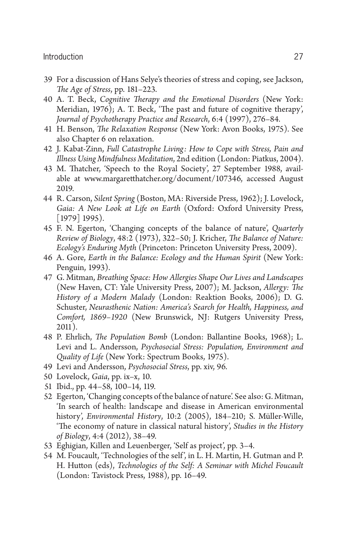## Introduction 27

- 39 For a discussion of Hans Selye's theories of stress and coping, see Jackson, *The Age of Stress*, pp. 181–223.
- 40 A. T. Beck, *Cognitive Therapy and the Emotional Disorders* (New York: Meridian,  $1976$ ); A. T. Beck, 'The past and future of cognitive therapy', *Journal of Psychotherapy Practice and Research* , 6:4 (1997), 276–84.
- 41 H. Benson, *The Relaxation Response* (New York: Avon Books, 1975). See also Chapter 6 on relaxation.
- 42 J. Kabat-Zinn, *Full Catastrophe Living: How to Cope with Stress, Pain and Illness Using Mindfulness Meditation* , 2nd edition (London: Piatkus, 2004).
- 43 M. Thatcher, 'Speech to the Royal Society', 27 September 1988, available at www.margaretthatcher.org/document/107346, accessed August 2019.
- 44 R. Carson, *Silent Spring* (Boston, MA: Riverside Press, 1962); J. Lovelock, *Gaia: A New Look at Life on Earth* (Oxford: Oxford University Press, [1979] 1995).
- 45 F. N. Egerton, 'Changing concepts of the balance of nature', *Quarterly Review of Biology*, 48:2 (1973), 322–50; J. Kricher, *The Balance of Nature: Ecology's Enduring Myth* (Princeton: Princeton University Press, 2009).
- 46 A. Gore, *Earth in the Balance: Ecology and the Human Spirit* (New York: Penguin, 1993).
- 47 G. Mitman, *Breathing Space: How Allergies Shape Our Lives and Landscapes* (New Haven, CT: Yale University Press, 2007); M. Jackson, *Allergy: The History of a Modern Malady* (London: Reaktion Books, 2006); D. G. Schuster, *Neurasthenic Nation: America's Search for Health, Happiness, and Comfort, 1869–1920* (New Brunswick, NJ: Rutgers University Press, 2011).
- 48 P. Ehrlich, *The Population Bomb* (London: Ballantine Books, 1968); L. Levi and L. Andersson, *Psychosocial Stress: Population, Environment and Quality of Life* (New York: Spectrum Books, 1975).
- 49 Levi and Andersson, *Psychosocial Stress* , pp. xiv, 96.
- 50 Lovelock, *Gaia* , pp. ix–x, 10.
- 51 Ibid., pp. 44–58, 100–14, 119.
- 52 Egerton, 'Changing concepts of the balance of nature'. See also: G. Mitman, 'In search of health: landscape and disease in American environmental history', *Environmental History* , 10:2 (2005), 184–210; S. Müller-Wille, 'The economy of nature in classical natural history', *Studies in the History of Biology* , 4:4 (2012), 38–49.
- 53 Eghigian, Killen and Leuenberger, 'Self as project', pp. 3–4.
- 54 M. Foucault, 'Technologies of the self', in L. H. Martin, H. Gutman and P. H. Hutt on (eds), *Technologies of the Self: A Seminar with Michel Foucault* (London: Tavistock Press, 1988), pp. 16–49.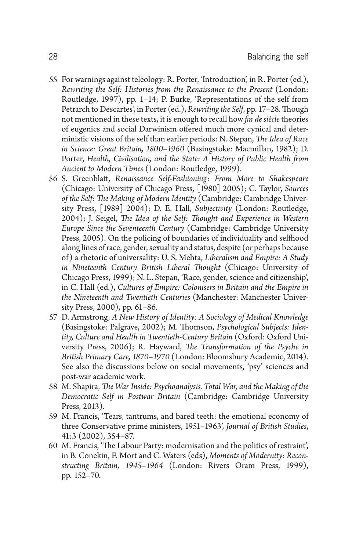- 55 For warnings against teleology: R. Porter, 'Introduction', in R. Porter (ed.), *Rewriting the Self: Histories from the Renaissance to the Present* (London: Routledge, 1997), pp. 1–14; P. Burke, 'Representations of the self from Petrarch to Descartes', in Porter (ed.), *Rewriting the Self*, pp. 17–28. Though not mentioned in these texts, it is enough to recall how *fin de siècle* theories of eugenics and social Darwinism offered much more cynical and deterministic visions of the self than earlier periods: N. Stepan, *The Idea of Race in Science: Great Britain, 1800–1960* (Basingstoke: Macmillan, 1982); D. Porter, *Health, Civilisation, and the State: A History of Public Health from Ancient to Modern Times* (London: Routledge, 1999).
- 56 S. Greenblatt, *Renaissance Self-Fashioning: From More to Shakespeare* (Chicago: University of Chicago Press, [1980] 2005); C. Taylor, *Sources*  of the Self: The Making of Modern Identity (Cambridge: Cambridge University Press, [1989] 2004); D. E. Hall, *Subjectivity* (London: Routledge, 2004); J. Seigel, *The Idea of the Self: Thought and Experience in Western Europe Since the Seventeenth Century* (Cambridge: Cambridge University Press, 2005). On the policing of boundaries of individuality and selfhood along lines of race, gender, sexuality and status, despite (or perhaps because of) a rhetoric of universality: U. S. Mehta, *Liberalism and Empire: A Study*  in Nineteenth Century British Liberal Thought (Chicago: University of Chicago Press, 1999); N. L. Stepan, 'Race, gender, science and citizenship', in C. Hall (ed.), *Cultures of Empire: Colonisers in Britain and the Empire in the Nineteenth and Twentieth Centuries* (Manchester: Manchester University Press, 2000), pp. 61–86.
- 57 D. Armstrong, *A New History of Identity: A Sociology of Medical Knowledge* (Basingstoke: Palgrave, 2002); M. Thomson, *Psychological Subjects: Identity, Culture and Health in Twentieth-Century Britain* (Oxford: Oxford University Press, 2006); R. Hayward, *The Transformation of the Psyche in British Primary Care, 1870–1970* (London: Bloomsbury Academic, 2014). See also the discussions below on social movements, 'psy' sciences and post-war academic work.
- 58 M. Shapira, *The War Inside: Psychoanalysis, Total War, and the Making of the Democratic Self in Postwar Britain* (Cambridge: Cambridge University Press, 2013).
- 59 M. Francis, 'Tears, tantrums, and bared teeth: the emotional economy of three Conservative prime ministers, 1951–1963', *Journal of British Studies* , 41:3 (2002), 354–87.
- 60 M. Francis, 'The Labour Party: modernisation and the politics of restraint', in B. Conekin, F. Mort and C. Waters (eds), *Moments of Modernity: Reconstructing Britain, 1945–1964* (London: Rivers Oram Press, 1999), pp. 152–70.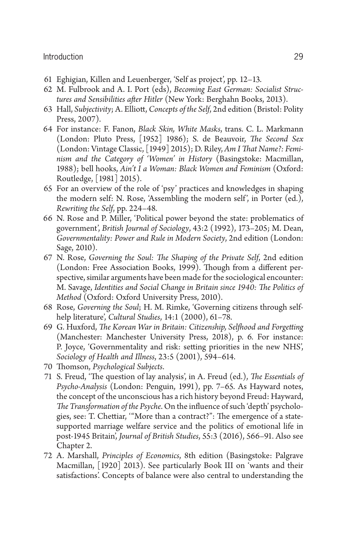## Introduction 29

- 61 Eghigian, Killen and Leuenberger, 'Self as project', pp. 12–13.
- 62 M. Fulbrook and A. I. Port (eds), *Becoming East German: Socialist Struc*tures and Sensibilities after Hitler (New York: Berghahn Books, 2013).
- 63 Hall, *Subjectivity*; A. Elliott, *Concepts of the Self*, 2nd edition (Bristol: Polity Press, 2007).
- 64 For instance: F. Fanon, *Black Skin, White Masks* , trans. C. L. Markmann (London: Pluto Press, [1952] 1986); S. de Beauvoir, *The Second Sex* (London: Vintage Classic, [1949] 2015); D. Riley, *Am I That Name?: Feminism and the Category of 'Women' in History* (Basingstoke: Macmillan, 1988); bell hooks, *Ain't I a Woman: Black Women and Feminism* (Oxford: Routledge, [1981] 2015).
- 65 For an overview of the role of 'psy' practices and knowledges in shaping the modern self: N. Rose, 'Assembling the modern self', in Porter (ed.), *Rewriting the Self* , pp. 224–48.
- 66 N. Rose and P. Miller, 'Political power beyond the state: problematics of government', *British Journal of Sociology* , 43:2 (1992), 173–205; M. Dean, *Governmentality: Power and Rule in Modern Society* , 2nd edition (London: Sage, 2010).
- 67 N. Rose, *Governing the Soul: The Shaping of the Private Self*, 2nd edition (London: Free Association Books, 1999). Though from a different perspective, similar arguments have been made for the sociological encounter: M. Savage, Identities and Social Change in Britain since 1940: The Politics of *Method* (Oxford: Oxford University Press, 2010).
- 68 Rose, *Governing the Soul*; H. M. Rimke, 'Governing citizens through selfhelp literature', *Cultural Studies* , 14:1 (2000), 61–78.
- 69 G. Huxford, *The Korean War in Britain: Citizenship*, Selfhood and Forgetting (Manchester: Manchester University Press, 2018), p. 6. For instance: P. Joyce, 'Governmentality and risk: setting priorities in the new NHS', *Sociology of Health and Illness* , 23:5 (2001), 594–614.
- 70 Thomson, Psychological Subjects.
- 71 S. Freud, 'The question of lay analysis', in A. Freud (ed.), *The Essentials of Psycho-Analysis* (London: Penguin, 1991), pp. 7–65. As Hayward notes, the concept of the unconscious has a rich history beyond Freud: Hayward, *The Transformation of the Psyche*. On the influence of such 'depth' psychologies, see: T. Chettiar, "More than a contract?": The emergence of a statesupported marriage welfare service and the politics of emotional life in post-1945 Britain', *Journal of British Studies* , 55:3 (2016), 566–91. Also see Chapter 2.
- 72 A. Marshall, *Principles of Economics* , 8th edition (Basingstoke: Palgrave Macmillan, [1920] 2013). See particularly Book III on 'wants and their satisfactions'. Concepts of balance were also central to understanding the